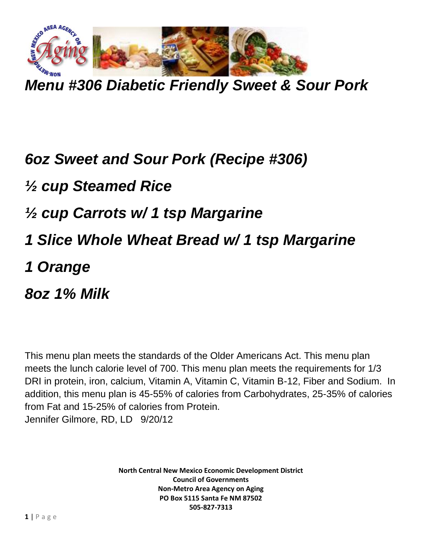

*Menu #306 Diabetic Friendly Sweet & Sour Pork*

## *6oz Sweet and Sour Pork (Recipe #306) ½ cup Steamed Rice ½ cup Carrots w/ 1 tsp Margarine 1 Slice Whole Wheat Bread w/ 1 tsp Margarine 1 Orange 8oz 1% Milk*

This menu plan meets the standards of the Older Americans Act. This menu plan meets the lunch calorie level of 700. This menu plan meets the requirements for 1/3 DRI in protein, iron, calcium, Vitamin A, Vitamin C, Vitamin B-12, Fiber and Sodium. In addition, this menu plan is 45-55% of calories from Carbohydrates, 25-35% of calories from Fat and 15-25% of calories from Protein. Jennifer Gilmore, RD, LD 9/20/12

> **North Central New Mexico Economic Development District Council of Governments Non-Metro Area Agency on Aging PO Box 5115 Santa Fe NM 87502 505-827-7313**